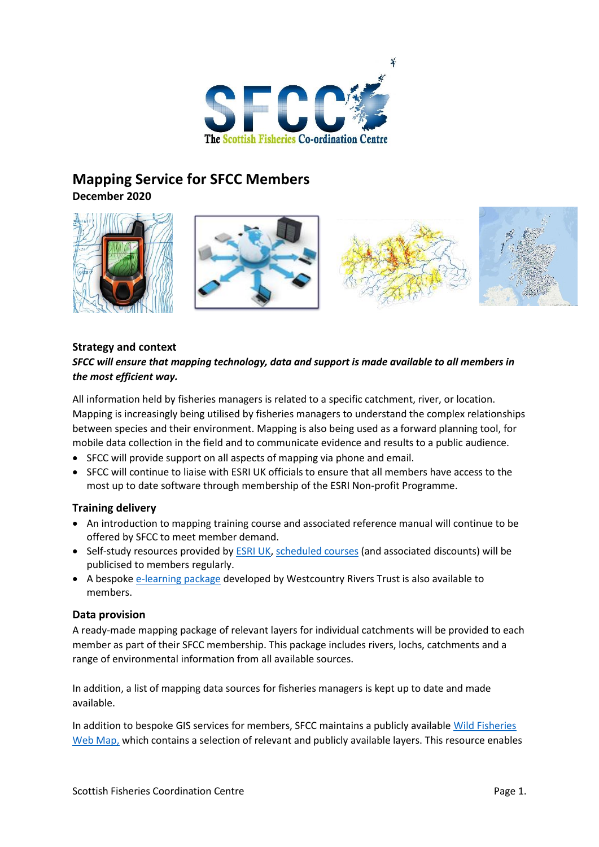

# **Mapping Service for SFCC Members**

**December 2020**



## **Strategy and context**

## *SFCC will ensure that mapping technology, data and support is made available to all members in the most efficient way.*

All information held by fisheries managers is related to a specific catchment, river, or location. Mapping is increasingly being utilised by fisheries managers to understand the complex relationships between species and their environment. Mapping is also being used as a forward planning tool, for mobile data collection in the field and to communicate evidence and results to a public audience.

- SFCC will provide support on all aspects of mapping via phone and email.
- SFCC will continue to liaise with ESRI UK officials to ensure that all members have access to the most up to date software through membership of the ESRI Non-profit Programme.

## **Training delivery**

- An introduction to mapping training course and associated reference manual will continue to be offered by SFCC to meet member demand.
- Self-study resources provided by **ESRI UK, [scheduled courses](https://store.esriuk.com/learning/catalogue/#-)** (and associated discounts) will be publicised to members regularly.
- A bespoke [e-learning package](http://ecospatial.info/gis-training-courses/) developed by Westcountry Rivers Trust is also available to members.

## **Data provision**

A ready-made mapping package of relevant layers for individual catchments will be provided to each member as part of their SFCC membership. This package includes rivers, lochs, catchments and a range of environmental information from all available sources.

In addition, a list of mapping data sources for fisheries managers is kept up to date and made available.

In addition to bespoke GIS services for members, SFCC maintains a publicly availabl[e Wild Fisheries](https://sfcc.maps.arcgis.com/apps/webappviewer/index.html?id=601618ee830f4138b504a06acbedd2ab)  [Web Map,](https://sfcc.maps.arcgis.com/apps/webappviewer/index.html?id=601618ee830f4138b504a06acbedd2ab) which contains a selection of relevant and publicly available layers. This resource enables